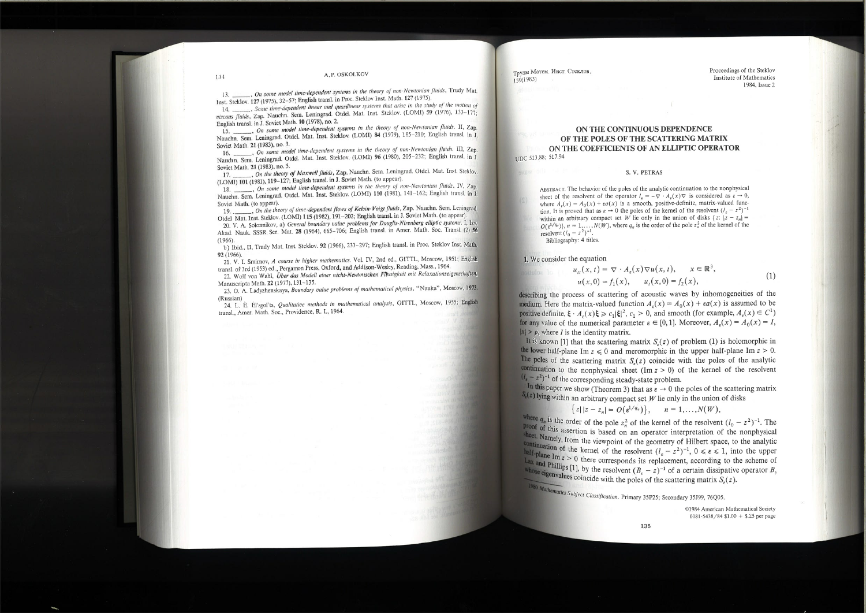### A, P. OSKOLKOV

..., On some model time-dependent systems in the theory of non-Newtonian fluids, Trudy Mat. Inst. Steklov. 127 (1975), 32-57; English transl. in Proc. Steklov Inst. Math. 127 (1975).  $13.$ 

14. \_\_\_\_\_\_, Some time-dependent linear and quasilinear systems that arise in the study of the motion of viscous fluids, Zap. Nauchn. Sem. Leningrad. Otdel. Mat. Inst. Steklov. (LOMI) 59 (1976), 133-177; English transl. in J. Soviet Math. 10 (1978), no. 2.

15. \_\_\_\_\_, On some model time-dependent systems in the theory of non-Newtonian fluids. II, Zap. Nauchn. Sem. Leningrad. Otdel. Mat. Inst. Steklov. (LOMI) 84 (1979), 185-210; English transl. in J. Soviet Math. 21 (1983), no. 3.

16. \_\_\_\_\_\_, On some model time-dependent systems in the theory of non-Newtonian fluids. III, Zap. Nauchn. Sem. Leningrad. Otdel. Mat. Inst. Steklov. (LOMI) 96 (1980), 205-232; English transl. in J. Soviet Math. 21 (1983), no. 5.

. On the theory of Maxwell fluids, Zap. Nauchn. Sem. Leningrad. Otdel. Mat. Inst. Stekloy. 17. (LOMI) 101 (1981), 119-127; English transl. in J. Soviet Math. (to appear).

18. \_\_\_\_\_, On some model time-dependent systems in the theory of non-Newtonian fluids, IV, Zap. Nauchn. Sem. Leningrad. Otdel. Mat. Inst. Steklov. (LOMI) 110 (1981), 141-162; English transl. in J. Soviet Math. (to appear).

19. On the theory of time-dependent flows of Kelvin-Voigt fluids, Zap. Nauchn. Sem. Leningrad. Otdel Mat. Inst. Steklov. (LOMI) 115 (1982), 191-202; English transl. in J. Soviet Math. (to appear).

20. V. A. Solonnikov, a) General boundary value problems for Douglis-Nirenberg elliptic systems. I, Izy, Akad. Nauk. SSSR Ser. Mat. 28 (1964), 665-706; English transl. in Amer. Math. Soc. Transl. (2) 56  $(1966).$ 

b) Ibid., II, Trudy Mat. Inst. Steklov. 92 (1966), 233-297; English transl. in Proc. Steklov Inst. Math. 92 (1966).

21. V. I. Smirnov, A course in higher mathematics. Vol. IV, 2nd ed., GITTL., Moscow, 1951; English transl. of 3rd (1953) ed., Pergamon Press, Oxford, and Addison-Wesley, Reading, Mass., 1964.

22. Wolf von Wahl, Über das Modell einer nicht-Newtonschen Flüssigkeit mit Relaxationseigenschaften, Manuscripta Math. 22 (1977), 131-135.

23. O. A. Ladyzhenskaya, Boundary value problems of mathematical physics, "Nauka", Moscow, 1973. (Russian)

24. L. È. Èl'sgol'ts, Qualitative methods in mathematical analysis, GITTL, Moscow, 1955; English transl., Amer. Math. Soc., Providence, R. I., 1964.

ON THE CONTINUOUS DEPENDENCE OF THE POLES OF THE SCATTERING MATRIX ON THE COEFFICIENTS OF AN ELLIPTIC OPERATOR UDC 513.88; 517.94

S. V. PETRAS

ABSTRACT. The behavior of the poles of the analytic continuation to the nonphysical sheet of the resolvent of the operator  $l_{\epsilon} = -\nabla \cdot A_{\epsilon}(x) \nabla$  is considered as  $\epsilon \to 0$ , where  $A_{\varepsilon}(x) = A_0(x) + \varepsilon a(x)$  is a smooth, positive-definite, matrix-valued function. It is proved that as  $\varepsilon \to 0$  the poles of the kernel of the resolvent  $(l_{\varepsilon} - z^2)^{-1}$ within an arbitrary compact set W lie only in the union of disks  $\{z: |z - z_n| =$  $O(\epsilon^{1/q_n})$ ,  $n = 1,..., N(W)$ , where  $q_n$  is the order of the pole  $z_n^2$  of the kernel of the resolvent  $(l_0 - z^2)^{-1}$ . Bibliography: 4 titles.

# 1. We consider the equation

Труды Матем. Инст. Стеклов.

 $159(1983)$ 

 $u_u(x, t) = \nabla \cdot A_{\epsilon}(x) \nabla u$  $u(x, 0) = f_1(x), \quad u_t(x)$ 

describing the process of scattering of acoustic waves by inhomogeneities of the medium. Here the matrix-valued function  $A<sub>e</sub>(x) = A<sub>0</sub>(x) + \epsilon a(x)$  is assumed to be positive definite,  $\xi \cdot A_{\epsilon}(x)\xi \geq c_1 |\xi|^2$ ,  $c_1 > 0$ , and smooth (for example,  $A_{\epsilon}(x) \in C^1$ ) for any value of the numerical parameter  $\varepsilon \in [0,1]$ . Moreover,  $A_{\varepsilon}(x) = A_0(x) = I$ ,  $|x| > \rho$ , where *I* is the identity matrix.

It is known [1] that the scattering matrix  $S<sub>s</sub>(z)$  of problem (1) is holomorphic in the lower half-plane Im  $z \le 0$  and meromorphic in the upper half-plane Im  $z > 0$ . The poles of the scattering matrix  $S_{\varepsilon}(z)$  coincide with the poles of the analytic continuation to the nonphysical sheet  $(Im z > 0)$  of the kernel of the resolvent  $(l_1 - z^2)^{-1}$  of the corresponding steady-state problem. In this paper we show (Theorem 3) that as  $\epsilon \to 0$  the poles of the scattering matrix  $S_i(z)$  lying within an arbitrary compact set W lie only in the union of disks

{ $z||z-z_n| = O(\varepsilon^{1/q_n})$ },

where  $q_n$  is the order of the pole  $z_n^2$  of the kernel of the resolvent  $(l_0 - z^2)^{-1}$ . The **Proof of this assertion is based on an operator interpretation of the nonphysical** sheet. Namely, from the viewpoint of the geometry of Hilbert space, to the analytic continuation of the kernel of the resolvent  $(l_e - z^2)^{-1}$ ,  $0 \le \epsilon \le 1$ , into the upper<br>half-plane of half-plane Im  $z > 0$  there corresponds its replacement, according to the scheme of Lax and Phillips [1], by the resolvent  $(B_{\epsilon} - z)^{-1}$  of a certain dissipative operator  $B_{\epsilon}$ <br>whose simplify space of the resolvent  $(B_{\epsilon} - z)^{-1}$  of a certain dissipative operator  $B_{\epsilon}$ whose eigenvalues coincide with the poles of the scattering matrix  $S_{\epsilon}(z)$ . 1980 Mathematics Subject Classification. Primary 35P25; Secondary 35J99, 76Q05.

134

Proceedings of the Steklov Institute of Mathematics 1984. Issue 2

$$
(x, t), \quad x \in \mathbb{R}^3,
$$
  
\n
$$
(x, t) = f_2(x), \qquad (1)
$$

$$
n=1,\ldots,N(W),
$$

©1984 American Mathematical Society 0081-5438/84 \$1.00 + \$.25 per page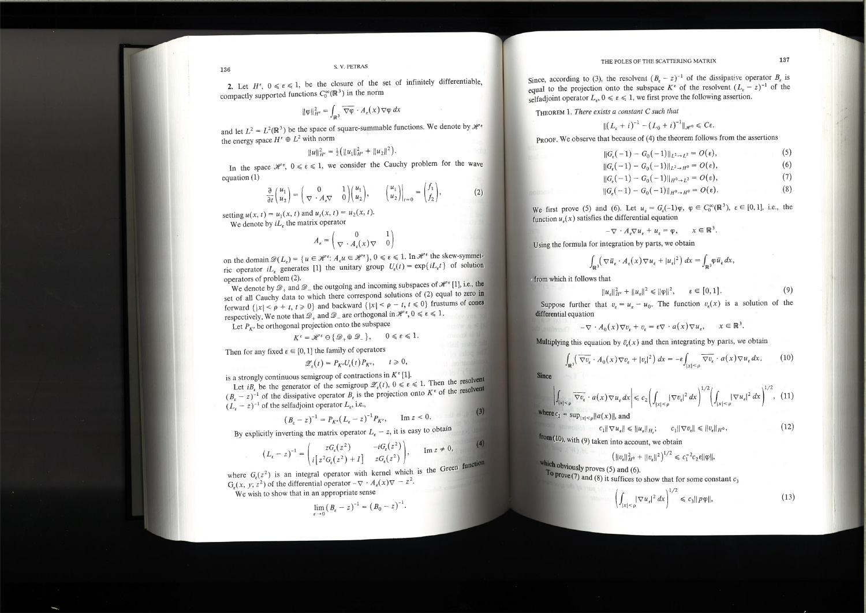2. Let  $H^{\epsilon}$ ,  $0 \le \epsilon \le 1$ , be the closure of the set of infinitely differentiable, compactly supported functions  $C_0^{\infty}(\mathbb{R}^3)$  in the norm

$$
\|\varphi\|_{H^{\epsilon}}^2 = \int_{\mathbb{R}^3} \overline{\nabla \varphi} \cdot A_{\epsilon}(x) \nabla \varphi \, dx
$$

and let  $L^2 = L^2(\mathbb{R}^3)$  be the space of square-summable functions. We denote by  $\mathcal{H}^{\epsilon}$ the energy space  $H^{\epsilon} \oplus L^2$  with norm

 $||u||_{H^{\epsilon}}^{2} = \frac{1}{2} (||u_{1}||_{H^{\epsilon}}^{2} + ||u_{2}||^{2}).$ 

In the space  $\mathcal{H}^{\epsilon}$ ,  $0 \leq \epsilon \leq 1$ , we consider the Cauchy problem for the wave equation  $(1)$ 

$$
\frac{\partial}{\partial t} \begin{pmatrix} u_1 \\ u_2 \end{pmatrix} = \begin{pmatrix} 0 & 1 \\ \nabla \cdot A_{\epsilon} \nabla & 0 \end{pmatrix} \begin{pmatrix} u_1 \\ u_2 \end{pmatrix}, \qquad \begin{pmatrix} u_1 \\ u_2 \end{pmatrix} \bigg|_{t=0} = \begin{pmatrix} f_1 \\ f_2 \end{pmatrix}, \tag{2}
$$

 $\sqrt{2}$ 

setting  $u(x, t) = u_1(x, t)$  and  $u_t(x, t) = u_2(x, t)$ .

We denote by  $iL_{\varepsilon}$  the matrix operator

$$
A_{\epsilon} = \begin{pmatrix} 0 & 1 \\ \nabla \cdot A_{\epsilon}(x) \nabla & 0 \end{pmatrix}
$$

on the domain  $\mathcal{D}(L_{\varepsilon}) = \{u \in \mathcal{H}^{\varepsilon}: A_{\varepsilon}u \in \mathcal{H}^{\varepsilon}\}, 0 \leq \varepsilon \leq 1$ . In  $\mathcal{H}^{\varepsilon}$  the skew-symmetric operator  $iL_e$  generates [1] the unitary group  $U_e(t) = \exp\{iL_e t\}$  of solution operators of problem (2).

We denote by  $\mathscr{D}_+$  and  $\mathscr{D}_-$  the outgoing and incoming subspaces of  $\mathscr{H}^{\varepsilon}[1]$ , i.e., the set of all Cauchy data to which there correspond solutions of (2) equal to zero in forward  $\{|x| \le \rho + t, t \ge 0\}$  and backward  $\{|x| \le \rho - t, t \le 0\}$  frustums of cones respectively. We note that  $\mathscr{D}_+$  and  $\mathscr{D}_-$  are orthogonal in  $\mathscr{H}^{\varepsilon}, 0 \leq \varepsilon \leq 1$ .

Let  $P_{K}$  be orthogonal projection onto the subspace

$$
K^{\varepsilon} = \mathscr{H}^{\varepsilon} \ominus \{\mathscr{D}_+ \oplus \mathscr{D}_-\}, \qquad 0 \leqslant \varepsilon \leqslant 1.
$$

Then for any fixed  $\varepsilon \in [0,1]$  the family of operators

 $\mathscr{Z}_{\varepsilon}(t) = P_{K^{\varepsilon}} U_{\varepsilon}(t) P_{K^{\varepsilon}}, \quad t \geq 0,$ 

is a strongly continuous semigroup of contractions in  $K^{\epsilon}[1]$ .

Let  $i B_{\varepsilon}$  be the generator of the semigroup  $\mathscr{Z}_{\varepsilon}(t), 0 \leq \varepsilon \leq 1$ . Then the resolvent  $(B_{\varepsilon} - z)^{-1}$  of the dissipative operator  $B_{\varepsilon}$  is the projection onto  $K^{\varepsilon}$  of the resolvent  $(L_e - z)^{-1}$  of the selfadjoint operator  $L_e$ , i.e.,

$$
(B_{\varepsilon}-z)^{-1} = P_{K^e}(L_{\varepsilon}-z)^{-1}P_{K^e}, \qquad \text{Im } z < 0.
$$
 (3)

By explicitly inverting the matrix operator  $L_{\epsilon} - z$ , it is easy to obtain

$$
(L_{\epsilon} - z)^{-1} = \begin{pmatrix} zG_{\epsilon}(z^2) & -iG_{\epsilon}(z^2) \\ i[z^2G_{\epsilon}(z^2) + I] & zG_{\epsilon}(z^2) \end{pmatrix}, \quad \text{Im } z \neq 0,
$$

where  $G_{\epsilon}(z^2)$  is an integral operator with kernel which is the Green func- $G_{\epsilon}(x, y; z^2)$  of the differential operator  $-\nabla \cdot A_{\epsilon}(x)\nabla = z^2$ .

We wish to show that in an appropriate sense

$$
\lim_{\varepsilon \to 0} (B_{\varepsilon} - z)^{-1} = (B_0 - z)^{-1}.
$$

Since, according to (3), the resolvent  $(B_n - z)^{-1}$  of the dissipative operator  $B_n$  is equal to the projection onto the subspace  $K^{\epsilon}$  of the resolvent  $(L_{\epsilon} - z)^{-1}$  of the selfadjoint operator  $L_{\epsilon}$ ,  $0 \le \epsilon \le 1$ , we first prove the following assertion.

THEOREM 1. There exists a constant C such that

$$
||(L_{\epsilon} + i)^{-1} - (
$$

PROOF. We observe that because of (4) the theorem follows from the assertions

 $||G_c(-1) - G_0||$  $||G_e(-1) - G_0||$  $||G_c(-1) - G_0||$  $||G_{\rm s}(-1)-G_{0}$ 

We first prove (5) and (6). Let  $u_{\varepsilon} = G_{\varepsilon}(-1)\varphi$ ,  $\varphi \in C_0^{\infty}(\mathbb{R}^3)$ ,  $\varepsilon \in [0,1]$ , i.e., the function  $u<sub>s</sub>(x)$  satisfies the differential equation

$$
-\nabla \cdot A_{\varepsilon} \nabla u_{\varepsilon} +
$$

Using the formula for integration by parts, we obtain

$$
\int_{\mathbb{R}^3} \left( \nabla \overline{u}_{\varepsilon} \cdot A_{\varepsilon}(x) \nabla u_{\varepsilon} + |u_{\varepsilon}|^2 \right) dx = \int_{\mathbb{R}^3} \varphi \overline{u}_{\varepsilon} dx,
$$

from which it follows that

 $||u_{\epsilon}||_{H^{\epsilon}}^2 + ||u_{\epsilon}||^2 \le ||\varphi||^2, \qquad \epsilon \in [0,1].$  $(9)$ Suppose further that  $v_{\epsilon} = u_{\epsilon} - u_0$ . The function  $v_{\epsilon}(x)$  is a solution of the

differential equation

 $-\nabla \cdot A_0(x)\nabla v_{\varepsilon} + v_{\varepsilon} =$ 

Multiplying this equation by  $\bar{v}_s(x)$  and then integrating by parts, we obtain

$$
\int_{\mathbb{R}^3} \left( \overline{\nabla v_{\varepsilon}} \cdot A_0(x) \nabla v_{\varepsilon} + |v_{\varepsilon}|^2 \right) dx = -\varepsilon \int_{|x| \le \rho} \overline{\nabla v_{\varepsilon}} \cdot a(x) \nabla u_{\varepsilon} dx. \tag{10}
$$

**Since** 

 $(4)$ 

$$
\left| \int_{|x| < \rho} \overline{\nabla v_{\epsilon}} \cdot a(x) \nabla u_{\epsilon} dx \right| \leq c_2 \left( \int_{|x| < \rho} |\nabla v_{\epsilon}|^2 dx \right)^{1/2} \left( \int_{|x| < \rho} |\nabla u_{\epsilon}|^2 dx \right)^{1/2}, \tag{11}
$$

where  $c_2 = \sup_{|x| < \rho} ||a(x)||$ , and

**Expression of**  $c_1\|\nabla u_{\varepsilon}\|\leqslant \|u_{\varepsilon}\|_{H^1}$ 

from (10), with (9) taken into account, we obtain

$$
\left( \|\nu_{e}\|_{H^{0}}^{2} + \|\nu_{e}\| \right.
$$

which obviously proves (5) and (6).

To prove (7) and (8) it suffices to show that for some constant  $c_3$ A to the pa

$$
\left(\int_{|x|<0}|\nabla u_{\varepsilon}|\right)
$$

# THE POLES OF THE SCATTERING MATRIX

 $(L_0 + i)^{-1} \parallel_{\mathscr{H}^0} \leq C \varepsilon.$ 

| $-1\ \mathbf{L}^2 \rightarrow \mathbf{L}^2 = O(\varepsilon),$ | (5) |
|---------------------------------------------------------------|-----|
| $-1\ \mathbf{L}^2\rightarrow H^0} = O(\varepsilon),$          | (6) |
| $-1\Vert_{H^0\to L^2}=O(\varepsilon),$                        | (7) |
| $-1\Vert_{H^0\to H^0}=O(\varepsilon).$                        | (8) |
|                                                               |     |

 $u_{\varepsilon} + u_{\varepsilon} = \varphi, \qquad x \in \mathbb{R}^3.$ 

$$
\epsilon \nabla \cdot a(x) \nabla u_s, \qquad x \in \mathbb{R}^3.
$$

$$
c_1 \|\nabla v_{\varepsilon}\| \leqslant \|v_{\varepsilon}\|_{H^0},\tag{12}
$$

$$
\|^{2}\big)^{1/2} \leq c_{1}^{-2}c_{2}\epsilon \|\varphi\|,
$$

$$
^{2} dx \bigg)^{1/2} \leqslant c_{3} \| p \varphi \|, \tag{13}
$$